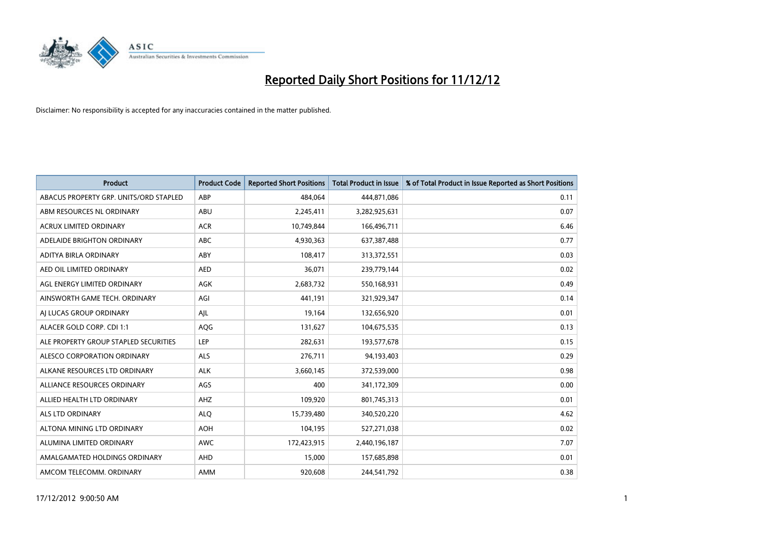

| <b>Product</b>                         | <b>Product Code</b> | <b>Reported Short Positions</b> | <b>Total Product in Issue</b> | % of Total Product in Issue Reported as Short Positions |
|----------------------------------------|---------------------|---------------------------------|-------------------------------|---------------------------------------------------------|
| ABACUS PROPERTY GRP. UNITS/ORD STAPLED | ABP                 | 484,064                         | 444,871,086                   | 0.11                                                    |
| ABM RESOURCES NL ORDINARY              | <b>ABU</b>          | 2,245,411                       | 3,282,925,631                 | 0.07                                                    |
| <b>ACRUX LIMITED ORDINARY</b>          | <b>ACR</b>          | 10,749,844                      | 166,496,711                   | 6.46                                                    |
| ADELAIDE BRIGHTON ORDINARY             | <b>ABC</b>          | 4,930,363                       | 637,387,488                   | 0.77                                                    |
| ADITYA BIRLA ORDINARY                  | ABY                 | 108,417                         | 313,372,551                   | 0.03                                                    |
| AED OIL LIMITED ORDINARY               | <b>AED</b>          | 36,071                          | 239,779,144                   | 0.02                                                    |
| AGL ENERGY LIMITED ORDINARY            | <b>AGK</b>          | 2,683,732                       | 550,168,931                   | 0.49                                                    |
| AINSWORTH GAME TECH. ORDINARY          | AGI                 | 441,191                         | 321,929,347                   | 0.14                                                    |
| AI LUCAS GROUP ORDINARY                | AJL                 | 19,164                          | 132,656,920                   | 0.01                                                    |
| ALACER GOLD CORP. CDI 1:1              | AQG                 | 131,627                         | 104,675,535                   | 0.13                                                    |
| ALE PROPERTY GROUP STAPLED SECURITIES  | LEP                 | 282,631                         | 193,577,678                   | 0.15                                                    |
| ALESCO CORPORATION ORDINARY            | <b>ALS</b>          | 276,711                         | 94,193,403                    | 0.29                                                    |
| ALKANE RESOURCES LTD ORDINARY          | <b>ALK</b>          | 3,660,145                       | 372,539,000                   | 0.98                                                    |
| ALLIANCE RESOURCES ORDINARY            | AGS                 | 400                             | 341,172,309                   | 0.00                                                    |
| ALLIED HEALTH LTD ORDINARY             | AHZ                 | 109,920                         | 801,745,313                   | 0.01                                                    |
| ALS LTD ORDINARY                       | <b>ALO</b>          | 15,739,480                      | 340,520,220                   | 4.62                                                    |
| ALTONA MINING LTD ORDINARY             | <b>AOH</b>          | 104,195                         | 527,271,038                   | 0.02                                                    |
| ALUMINA LIMITED ORDINARY               | <b>AWC</b>          | 172,423,915                     | 2,440,196,187                 | 7.07                                                    |
| AMALGAMATED HOLDINGS ORDINARY          | <b>AHD</b>          | 15,000                          | 157,685,898                   | 0.01                                                    |
| AMCOM TELECOMM. ORDINARY               | <b>AMM</b>          | 920,608                         | 244,541,792                   | 0.38                                                    |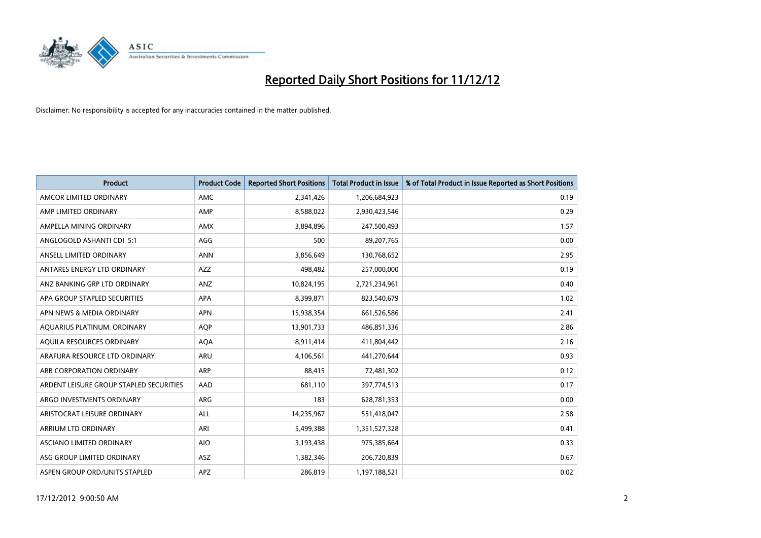

| <b>Product</b>                          | <b>Product Code</b> | <b>Reported Short Positions</b> | <b>Total Product in Issue</b> | % of Total Product in Issue Reported as Short Positions |
|-----------------------------------------|---------------------|---------------------------------|-------------------------------|---------------------------------------------------------|
| AMCOR LIMITED ORDINARY                  | AMC                 | 2,341,426                       | 1,206,684,923                 | 0.19                                                    |
| AMP LIMITED ORDINARY                    | AMP                 | 8,588,022                       | 2,930,423,546                 | 0.29                                                    |
| AMPELLA MINING ORDINARY                 | <b>AMX</b>          | 3,894,896                       | 247,500,493                   | 1.57                                                    |
| ANGLOGOLD ASHANTI CDI 5:1               | AGG                 | 500                             | 89,207,765                    | 0.00                                                    |
| ANSELL LIMITED ORDINARY                 | <b>ANN</b>          | 3,856,649                       | 130,768,652                   | 2.95                                                    |
| ANTARES ENERGY LTD ORDINARY             | <b>AZZ</b>          | 498,482                         | 257,000,000                   | 0.19                                                    |
| ANZ BANKING GRP LTD ORDINARY            | ANZ                 | 10,824,195                      | 2,721,234,961                 | 0.40                                                    |
| APA GROUP STAPLED SECURITIES            | <b>APA</b>          | 8,399,871                       | 823,540,679                   | 1.02                                                    |
| APN NEWS & MEDIA ORDINARY               | <b>APN</b>          | 15,938,354                      | 661,526,586                   | 2.41                                                    |
| AQUARIUS PLATINUM. ORDINARY             | <b>AOP</b>          | 13,901,733                      | 486,851,336                   | 2.86                                                    |
| AQUILA RESOURCES ORDINARY               | <b>AQA</b>          | 8,911,414                       | 411,804,442                   | 2.16                                                    |
| ARAFURA RESOURCE LTD ORDINARY           | ARU                 | 4,106,561                       | 441,270,644                   | 0.93                                                    |
| ARB CORPORATION ORDINARY                | <b>ARP</b>          | 88,415                          | 72,481,302                    | 0.12                                                    |
| ARDENT LEISURE GROUP STAPLED SECURITIES | AAD                 | 681,110                         | 397,774,513                   | 0.17                                                    |
| ARGO INVESTMENTS ORDINARY               | ARG                 | 183                             | 628,781,353                   | 0.00                                                    |
| ARISTOCRAT LEISURE ORDINARY             | <b>ALL</b>          | 14,235,967                      | 551,418,047                   | 2.58                                                    |
| ARRIUM LTD ORDINARY                     | ARI                 | 5,499,388                       | 1,351,527,328                 | 0.41                                                    |
| ASCIANO LIMITED ORDINARY                | <b>AIO</b>          | 3,193,438                       | 975,385,664                   | 0.33                                                    |
| ASG GROUP LIMITED ORDINARY              | <b>ASZ</b>          | 1,382,346                       | 206,720,839                   | 0.67                                                    |
| ASPEN GROUP ORD/UNITS STAPLED           | APZ                 | 286.819                         | 1,197,188,521                 | 0.02                                                    |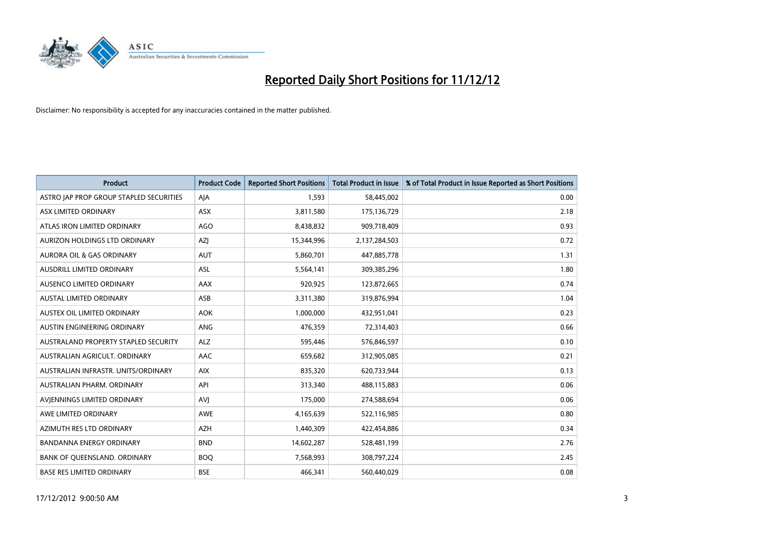

| <b>Product</b>                          | <b>Product Code</b> | <b>Reported Short Positions</b> | Total Product in Issue | % of Total Product in Issue Reported as Short Positions |
|-----------------------------------------|---------------------|---------------------------------|------------------------|---------------------------------------------------------|
| ASTRO JAP PROP GROUP STAPLED SECURITIES | AJA                 | 1,593                           | 58,445,002             | 0.00                                                    |
| ASX LIMITED ORDINARY                    | ASX                 | 3,811,580                       | 175,136,729            | 2.18                                                    |
| ATLAS IRON LIMITED ORDINARY             | <b>AGO</b>          | 8,438,832                       | 909,718,409            | 0.93                                                    |
| AURIZON HOLDINGS LTD ORDINARY           | <b>AZI</b>          | 15,344,996                      | 2,137,284,503          | 0.72                                                    |
| <b>AURORA OIL &amp; GAS ORDINARY</b>    | <b>AUT</b>          | 5,860,701                       | 447,885,778            | 1.31                                                    |
| <b>AUSDRILL LIMITED ORDINARY</b>        | <b>ASL</b>          | 5,564,141                       | 309,385,296            | 1.80                                                    |
| AUSENCO LIMITED ORDINARY                | AAX                 | 920,925                         | 123,872,665            | 0.74                                                    |
| <b>AUSTAL LIMITED ORDINARY</b>          | ASB                 | 3,311,380                       | 319,876,994            | 1.04                                                    |
| AUSTEX OIL LIMITED ORDINARY             | AOK                 | 1,000,000                       | 432,951,041            | 0.23                                                    |
| AUSTIN ENGINEERING ORDINARY             | <b>ANG</b>          | 476,359                         | 72,314,403             | 0.66                                                    |
| AUSTRALAND PROPERTY STAPLED SECURITY    | <b>ALZ</b>          | 595,446                         | 576,846,597            | 0.10                                                    |
| AUSTRALIAN AGRICULT, ORDINARY           | AAC                 | 659,682                         | 312,905,085            | 0.21                                                    |
| AUSTRALIAN INFRASTR. UNITS/ORDINARY     | <b>AIX</b>          | 835,320                         | 620,733,944            | 0.13                                                    |
| AUSTRALIAN PHARM, ORDINARY              | API                 | 313,340                         | 488,115,883            | 0.06                                                    |
| AVIENNINGS LIMITED ORDINARY             | <b>AVI</b>          | 175,000                         | 274,588,694            | 0.06                                                    |
| AWE LIMITED ORDINARY                    | AWE                 | 4,165,639                       | 522,116,985            | 0.80                                                    |
| AZIMUTH RES LTD ORDINARY                | <b>AZH</b>          | 1,440,309                       | 422,454,886            | 0.34                                                    |
| <b>BANDANNA ENERGY ORDINARY</b>         | <b>BND</b>          | 14,602,287                      | 528,481,199            | 2.76                                                    |
| BANK OF OUEENSLAND, ORDINARY            | <b>BOO</b>          | 7,568,993                       | 308,797,224            | 2.45                                                    |
| <b>BASE RES LIMITED ORDINARY</b>        | <b>BSE</b>          | 466.341                         | 560,440,029            | 0.08                                                    |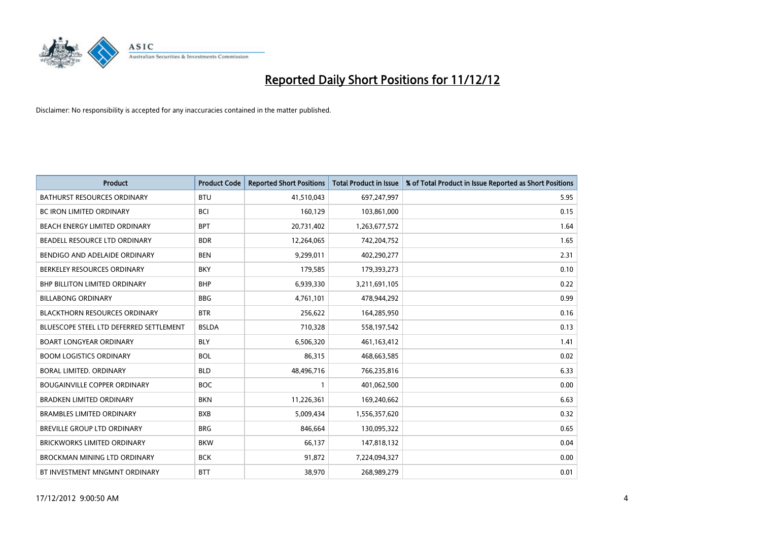

| <b>Product</b>                          | <b>Product Code</b> | <b>Reported Short Positions</b> | <b>Total Product in Issue</b> | % of Total Product in Issue Reported as Short Positions |
|-----------------------------------------|---------------------|---------------------------------|-------------------------------|---------------------------------------------------------|
| <b>BATHURST RESOURCES ORDINARY</b>      | <b>BTU</b>          | 41,510,043                      | 697,247,997                   | 5.95                                                    |
| BC IRON LIMITED ORDINARY                | <b>BCI</b>          | 160,129                         | 103,861,000                   | 0.15                                                    |
| BEACH ENERGY LIMITED ORDINARY           | <b>BPT</b>          | 20,731,402                      | 1,263,677,572                 | 1.64                                                    |
| BEADELL RESOURCE LTD ORDINARY           | <b>BDR</b>          | 12,264,065                      | 742,204,752                   | 1.65                                                    |
| BENDIGO AND ADELAIDE ORDINARY           | <b>BEN</b>          | 9,299,011                       | 402,290,277                   | 2.31                                                    |
| BERKELEY RESOURCES ORDINARY             | <b>BKY</b>          | 179,585                         | 179,393,273                   | 0.10                                                    |
| <b>BHP BILLITON LIMITED ORDINARY</b>    | <b>BHP</b>          | 6,939,330                       | 3,211,691,105                 | 0.22                                                    |
| <b>BILLABONG ORDINARY</b>               | <b>BBG</b>          | 4,761,101                       | 478,944,292                   | 0.99                                                    |
| <b>BLACKTHORN RESOURCES ORDINARY</b>    | <b>BTR</b>          | 256,622                         | 164,285,950                   | 0.16                                                    |
| BLUESCOPE STEEL LTD DEFERRED SETTLEMENT | <b>BSLDA</b>        | 710,328                         | 558,197,542                   | 0.13                                                    |
| <b>BOART LONGYEAR ORDINARY</b>          | <b>BLY</b>          | 6,506,320                       | 461,163,412                   | 1.41                                                    |
| <b>BOOM LOGISTICS ORDINARY</b>          | <b>BOL</b>          | 86,315                          | 468,663,585                   | 0.02                                                    |
| BORAL LIMITED. ORDINARY                 | <b>BLD</b>          | 48,496,716                      | 766,235,816                   | 6.33                                                    |
| <b>BOUGAINVILLE COPPER ORDINARY</b>     | <b>BOC</b>          |                                 | 401,062,500                   | 0.00                                                    |
| <b>BRADKEN LIMITED ORDINARY</b>         | <b>BKN</b>          | 11,226,361                      | 169,240,662                   | 6.63                                                    |
| <b>BRAMBLES LIMITED ORDINARY</b>        | <b>BXB</b>          | 5,009,434                       | 1,556,357,620                 | 0.32                                                    |
| BREVILLE GROUP LTD ORDINARY             | <b>BRG</b>          | 846,664                         | 130,095,322                   | 0.65                                                    |
| <b>BRICKWORKS LIMITED ORDINARY</b>      | <b>BKW</b>          | 66,137                          | 147,818,132                   | 0.04                                                    |
| <b>BROCKMAN MINING LTD ORDINARY</b>     | <b>BCK</b>          | 91,872                          | 7,224,094,327                 | 0.00                                                    |
| BT INVESTMENT MNGMNT ORDINARY           | <b>BTT</b>          | 38,970                          | 268,989,279                   | 0.01                                                    |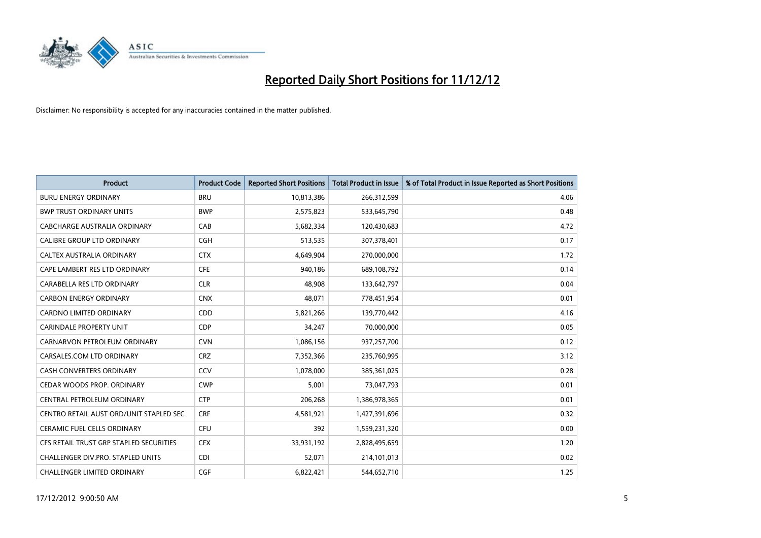

| <b>Product</b>                          | <b>Product Code</b> | <b>Reported Short Positions</b> | <b>Total Product in Issue</b> | % of Total Product in Issue Reported as Short Positions |
|-----------------------------------------|---------------------|---------------------------------|-------------------------------|---------------------------------------------------------|
| <b>BURU ENERGY ORDINARY</b>             | <b>BRU</b>          | 10,813,386                      | 266,312,599                   | 4.06                                                    |
| <b>BWP TRUST ORDINARY UNITS</b>         | <b>BWP</b>          | 2,575,823                       | 533,645,790                   | 0.48                                                    |
| CABCHARGE AUSTRALIA ORDINARY            | CAB                 | 5,682,334                       | 120,430,683                   | 4.72                                                    |
| CALIBRE GROUP LTD ORDINARY              | <b>CGH</b>          | 513,535                         | 307,378,401                   | 0.17                                                    |
| <b>CALTEX AUSTRALIA ORDINARY</b>        | <b>CTX</b>          | 4.649.904                       | 270,000,000                   | 1.72                                                    |
| CAPE LAMBERT RES LTD ORDINARY           | <b>CFE</b>          | 940,186                         | 689,108,792                   | 0.14                                                    |
| CARABELLA RES LTD ORDINARY              | <b>CLR</b>          | 48.908                          | 133,642,797                   | 0.04                                                    |
| <b>CARBON ENERGY ORDINARY</b>           | <b>CNX</b>          | 48.071                          | 778,451,954                   | 0.01                                                    |
| CARDNO LIMITED ORDINARY                 | CDD                 | 5,821,266                       | 139,770,442                   | 4.16                                                    |
| <b>CARINDALE PROPERTY UNIT</b>          | <b>CDP</b>          | 34,247                          | 70,000,000                    | 0.05                                                    |
| CARNARVON PETROLEUM ORDINARY            | <b>CVN</b>          | 1,086,156                       | 937,257,700                   | 0.12                                                    |
| CARSALES.COM LTD ORDINARY               | <b>CRZ</b>          | 7,352,366                       | 235,760,995                   | 3.12                                                    |
| <b>CASH CONVERTERS ORDINARY</b>         | CCV                 | 1,078,000                       | 385,361,025                   | 0.28                                                    |
| CEDAR WOODS PROP. ORDINARY              | <b>CWP</b>          | 5,001                           | 73,047,793                    | 0.01                                                    |
| CENTRAL PETROLEUM ORDINARY              | <b>CTP</b>          | 206,268                         | 1,386,978,365                 | 0.01                                                    |
| CENTRO RETAIL AUST ORD/UNIT STAPLED SEC | <b>CRF</b>          | 4,581,921                       | 1,427,391,696                 | 0.32                                                    |
| <b>CERAMIC FUEL CELLS ORDINARY</b>      | <b>CFU</b>          | 392                             | 1,559,231,320                 | 0.00                                                    |
| CFS RETAIL TRUST GRP STAPLED SECURITIES | <b>CFX</b>          | 33,931,192                      | 2,828,495,659                 | 1.20                                                    |
| CHALLENGER DIV.PRO. STAPLED UNITS       | <b>CDI</b>          | 52,071                          | 214,101,013                   | 0.02                                                    |
| <b>CHALLENGER LIMITED ORDINARY</b>      | <b>CGF</b>          | 6.822.421                       | 544,652,710                   | 1.25                                                    |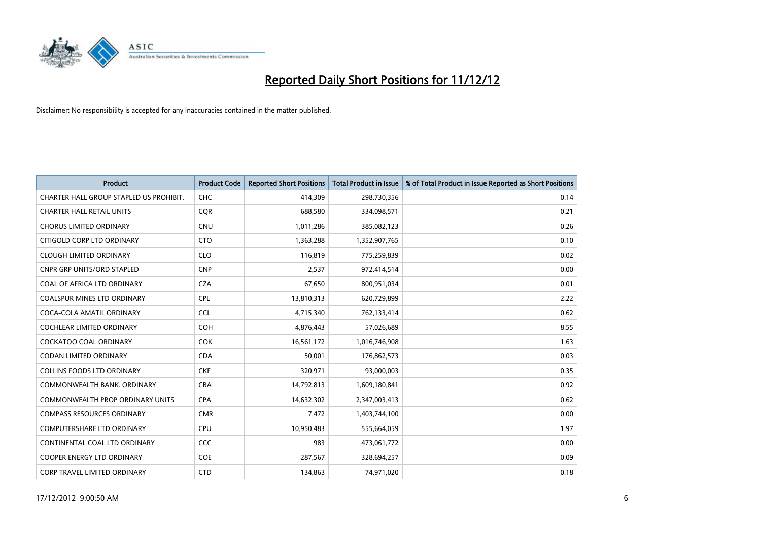

| <b>Product</b>                          | <b>Product Code</b> | <b>Reported Short Positions</b> | <b>Total Product in Issue</b> | % of Total Product in Issue Reported as Short Positions |
|-----------------------------------------|---------------------|---------------------------------|-------------------------------|---------------------------------------------------------|
| CHARTER HALL GROUP STAPLED US PROHIBIT. | <b>CHC</b>          | 414,309                         | 298,730,356                   | 0.14                                                    |
| <b>CHARTER HALL RETAIL UNITS</b>        | <b>COR</b>          | 688,580                         | 334,098,571                   | 0.21                                                    |
| <b>CHORUS LIMITED ORDINARY</b>          | <b>CNU</b>          | 1,011,286                       | 385,082,123                   | 0.26                                                    |
| CITIGOLD CORP LTD ORDINARY              | <b>CTO</b>          | 1,363,288                       | 1,352,907,765                 | 0.10                                                    |
| <b>CLOUGH LIMITED ORDINARY</b>          | <b>CLO</b>          | 116,819                         | 775,259,839                   | 0.02                                                    |
| <b>CNPR GRP UNITS/ORD STAPLED</b>       | <b>CNP</b>          | 2,537                           | 972,414,514                   | 0.00                                                    |
| COAL OF AFRICA LTD ORDINARY             | <b>CZA</b>          | 67,650                          | 800,951,034                   | 0.01                                                    |
| <b>COALSPUR MINES LTD ORDINARY</b>      | <b>CPL</b>          | 13,810,313                      | 620,729,899                   | 2.22                                                    |
| COCA-COLA AMATIL ORDINARY               | <b>CCL</b>          | 4,715,340                       | 762,133,414                   | 0.62                                                    |
| <b>COCHLEAR LIMITED ORDINARY</b>        | <b>COH</b>          | 4,876,443                       | 57,026,689                    | 8.55                                                    |
| COCKATOO COAL ORDINARY                  | <b>COK</b>          | 16,561,172                      | 1,016,746,908                 | 1.63                                                    |
| <b>CODAN LIMITED ORDINARY</b>           | <b>CDA</b>          | 50,001                          | 176,862,573                   | 0.03                                                    |
| COLLINS FOODS LTD ORDINARY              | <b>CKF</b>          | 320,971                         | 93,000,003                    | 0.35                                                    |
| COMMONWEALTH BANK, ORDINARY             | <b>CBA</b>          | 14,792,813                      | 1,609,180,841                 | 0.92                                                    |
| COMMONWEALTH PROP ORDINARY UNITS        | <b>CPA</b>          | 14,632,302                      | 2,347,003,413                 | 0.62                                                    |
| <b>COMPASS RESOURCES ORDINARY</b>       | <b>CMR</b>          | 7,472                           | 1,403,744,100                 | 0.00                                                    |
| COMPUTERSHARE LTD ORDINARY              | <b>CPU</b>          | 10,950,483                      | 555,664,059                   | 1.97                                                    |
| CONTINENTAL COAL LTD ORDINARY           | CCC                 | 983                             | 473,061,772                   | 0.00                                                    |
| <b>COOPER ENERGY LTD ORDINARY</b>       | COE                 | 287,567                         | 328,694,257                   | 0.09                                                    |
| <b>CORP TRAVEL LIMITED ORDINARY</b>     | <b>CTD</b>          | 134,863                         | 74,971,020                    | 0.18                                                    |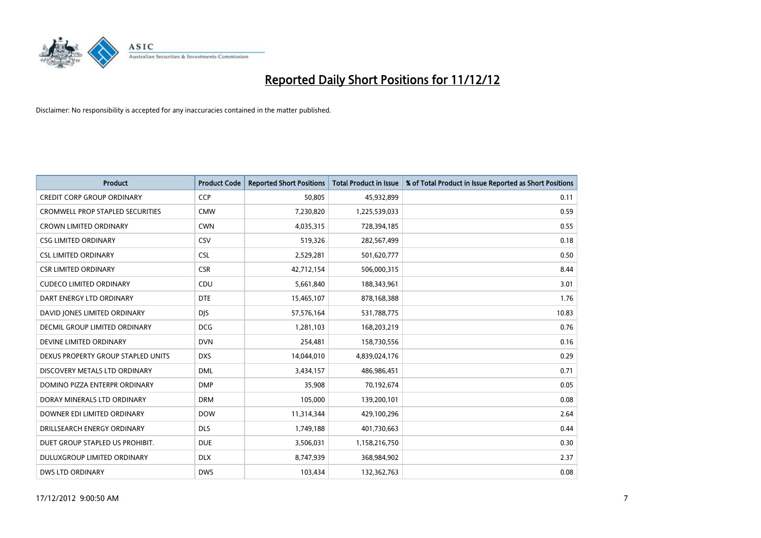

| <b>Product</b>                          | <b>Product Code</b> | <b>Reported Short Positions</b> | <b>Total Product in Issue</b> | % of Total Product in Issue Reported as Short Positions |
|-----------------------------------------|---------------------|---------------------------------|-------------------------------|---------------------------------------------------------|
| <b>CREDIT CORP GROUP ORDINARY</b>       | CCP                 | 50.805                          | 45,932,899                    | 0.11                                                    |
| <b>CROMWELL PROP STAPLED SECURITIES</b> | <b>CMW</b>          | 7,230,820                       | 1,225,539,033                 | 0.59                                                    |
| <b>CROWN LIMITED ORDINARY</b>           | <b>CWN</b>          | 4,035,315                       | 728,394,185                   | 0.55                                                    |
| <b>CSG LIMITED ORDINARY</b>             | CSV                 | 519,326                         | 282,567,499                   | 0.18                                                    |
| <b>CSL LIMITED ORDINARY</b>             | <b>CSL</b>          | 2,529,281                       | 501,620,777                   | 0.50                                                    |
| <b>CSR LIMITED ORDINARY</b>             | <b>CSR</b>          | 42,712,154                      | 506,000,315                   | 8.44                                                    |
| <b>CUDECO LIMITED ORDINARY</b>          | CDU                 | 5,661,840                       | 188,343,961                   | 3.01                                                    |
| DART ENERGY LTD ORDINARY                | <b>DTE</b>          | 15,465,107                      | 878,168,388                   | 1.76                                                    |
| DAVID JONES LIMITED ORDINARY            | <b>DIS</b>          | 57,576,164                      | 531,788,775                   | 10.83                                                   |
| DECMIL GROUP LIMITED ORDINARY           | <b>DCG</b>          | 1,281,103                       | 168,203,219                   | 0.76                                                    |
| DEVINE LIMITED ORDINARY                 | <b>DVN</b>          | 254,481                         | 158,730,556                   | 0.16                                                    |
| DEXUS PROPERTY GROUP STAPLED UNITS      | <b>DXS</b>          | 14,044,010                      | 4,839,024,176                 | 0.29                                                    |
| DISCOVERY METALS LTD ORDINARY           | <b>DML</b>          | 3,434,157                       | 486,986,451                   | 0.71                                                    |
| DOMINO PIZZA ENTERPR ORDINARY           | <b>DMP</b>          | 35,908                          | 70,192,674                    | 0.05                                                    |
| DORAY MINERALS LTD ORDINARY             | <b>DRM</b>          | 105,000                         | 139,200,101                   | 0.08                                                    |
| DOWNER EDI LIMITED ORDINARY             | <b>DOW</b>          | 11,314,344                      | 429,100,296                   | 2.64                                                    |
| DRILLSEARCH ENERGY ORDINARY             | <b>DLS</b>          | 1,749,188                       | 401,730,663                   | 0.44                                                    |
| DUET GROUP STAPLED US PROHIBIT.         | <b>DUE</b>          | 3,506,031                       | 1,158,216,750                 | 0.30                                                    |
| <b>DULUXGROUP LIMITED ORDINARY</b>      | <b>DLX</b>          | 8,747,939                       | 368,984,902                   | 2.37                                                    |
| <b>DWS LTD ORDINARY</b>                 | <b>DWS</b>          | 103.434                         | 132,362,763                   | 0.08                                                    |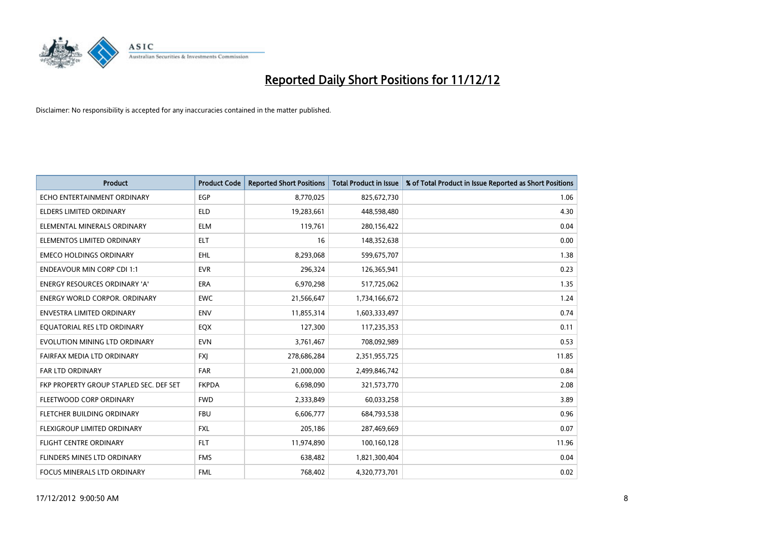

| <b>Product</b>                          | <b>Product Code</b> | <b>Reported Short Positions</b> | <b>Total Product in Issue</b> | % of Total Product in Issue Reported as Short Positions |
|-----------------------------------------|---------------------|---------------------------------|-------------------------------|---------------------------------------------------------|
| ECHO ENTERTAINMENT ORDINARY             | <b>EGP</b>          | 8,770,025                       | 825,672,730                   | 1.06                                                    |
| ELDERS LIMITED ORDINARY                 | <b>ELD</b>          | 19,283,661                      | 448,598,480                   | 4.30                                                    |
| ELEMENTAL MINERALS ORDINARY             | <b>ELM</b>          | 119,761                         | 280,156,422                   | 0.04                                                    |
| ELEMENTOS LIMITED ORDINARY              | <b>ELT</b>          | 16                              | 148,352,638                   | 0.00                                                    |
| <b>EMECO HOLDINGS ORDINARY</b>          | <b>EHL</b>          | 8,293,068                       | 599,675,707                   | 1.38                                                    |
| <b>ENDEAVOUR MIN CORP CDI 1:1</b>       | <b>EVR</b>          | 296,324                         | 126,365,941                   | 0.23                                                    |
| <b>ENERGY RESOURCES ORDINARY 'A'</b>    | <b>ERA</b>          | 6,970,298                       | 517,725,062                   | 1.35                                                    |
| ENERGY WORLD CORPOR. ORDINARY           | <b>EWC</b>          | 21,566,647                      | 1,734,166,672                 | 1.24                                                    |
| ENVESTRA LIMITED ORDINARY               | <b>ENV</b>          | 11,855,314                      | 1,603,333,497                 | 0.74                                                    |
| EOUATORIAL RES LTD ORDINARY             | EQX                 | 127,300                         | 117,235,353                   | 0.11                                                    |
| EVOLUTION MINING LTD ORDINARY           | <b>EVN</b>          | 3,761,467                       | 708,092,989                   | 0.53                                                    |
| FAIRFAX MEDIA LTD ORDINARY              | <b>FXI</b>          | 278,686,284                     | 2,351,955,725                 | 11.85                                                   |
| <b>FAR LTD ORDINARY</b>                 | <b>FAR</b>          | 21,000,000                      | 2,499,846,742                 | 0.84                                                    |
| FKP PROPERTY GROUP STAPLED SEC. DEF SET | <b>FKPDA</b>        | 6,698,090                       | 321,573,770                   | 2.08                                                    |
| FLEETWOOD CORP ORDINARY                 | <b>FWD</b>          | 2,333,849                       | 60,033,258                    | 3.89                                                    |
| FLETCHER BUILDING ORDINARY              | <b>FBU</b>          | 6,606,777                       | 684,793,538                   | 0.96                                                    |
| <b>FLEXIGROUP LIMITED ORDINARY</b>      | <b>FXL</b>          | 205,186                         | 287,469,669                   | 0.07                                                    |
| FLIGHT CENTRE ORDINARY                  | <b>FLT</b>          | 11,974,890                      | 100,160,128                   | 11.96                                                   |
| FLINDERS MINES LTD ORDINARY             | <b>FMS</b>          | 638,482                         | 1,821,300,404                 | 0.04                                                    |
| FOCUS MINERALS LTD ORDINARY             | <b>FML</b>          | 768,402                         | 4,320,773,701                 | 0.02                                                    |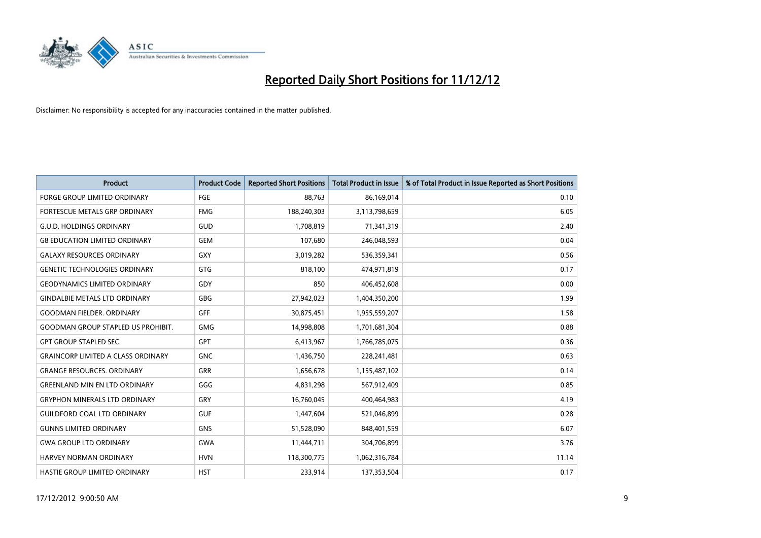

| <b>Product</b>                            | <b>Product Code</b> | <b>Reported Short Positions</b> | <b>Total Product in Issue</b> | % of Total Product in Issue Reported as Short Positions |
|-------------------------------------------|---------------------|---------------------------------|-------------------------------|---------------------------------------------------------|
| <b>FORGE GROUP LIMITED ORDINARY</b>       | FGE                 | 88,763                          | 86,169,014                    | 0.10                                                    |
| FORTESCUE METALS GRP ORDINARY             | <b>FMG</b>          | 188,240,303                     | 3,113,798,659                 | 6.05                                                    |
| <b>G.U.D. HOLDINGS ORDINARY</b>           | GUD                 | 1,708,819                       | 71,341,319                    | 2.40                                                    |
| <b>G8 EDUCATION LIMITED ORDINARY</b>      | GEM                 | 107,680                         | 246,048,593                   | 0.04                                                    |
| <b>GALAXY RESOURCES ORDINARY</b>          | GXY                 | 3,019,282                       | 536,359,341                   | 0.56                                                    |
| <b>GENETIC TECHNOLOGIES ORDINARY</b>      | GTG                 | 818,100                         | 474,971,819                   | 0.17                                                    |
| <b>GEODYNAMICS LIMITED ORDINARY</b>       | GDY                 | 850                             | 406,452,608                   | 0.00                                                    |
| <b>GINDALBIE METALS LTD ORDINARY</b>      | GBG                 | 27,942,023                      | 1,404,350,200                 | 1.99                                                    |
| <b>GOODMAN FIELDER. ORDINARY</b>          | <b>GFF</b>          | 30,875,451                      | 1,955,559,207                 | 1.58                                                    |
| <b>GOODMAN GROUP STAPLED US PROHIBIT.</b> | <b>GMG</b>          | 14,998,808                      | 1,701,681,304                 | 0.88                                                    |
| <b>GPT GROUP STAPLED SEC.</b>             | <b>GPT</b>          | 6,413,967                       | 1,766,785,075                 | 0.36                                                    |
| <b>GRAINCORP LIMITED A CLASS ORDINARY</b> | <b>GNC</b>          | 1,436,750                       | 228,241,481                   | 0.63                                                    |
| <b>GRANGE RESOURCES. ORDINARY</b>         | <b>GRR</b>          | 1,656,678                       | 1,155,487,102                 | 0.14                                                    |
| <b>GREENLAND MIN EN LTD ORDINARY</b>      | GGG                 | 4,831,298                       | 567,912,409                   | 0.85                                                    |
| <b>GRYPHON MINERALS LTD ORDINARY</b>      | GRY                 | 16,760,045                      | 400,464,983                   | 4.19                                                    |
| <b>GUILDFORD COAL LTD ORDINARY</b>        | <b>GUF</b>          | 1,447,604                       | 521,046,899                   | 0.28                                                    |
| <b>GUNNS LIMITED ORDINARY</b>             | <b>GNS</b>          | 51,528,090                      | 848,401,559                   | 6.07                                                    |
| <b>GWA GROUP LTD ORDINARY</b>             | <b>GWA</b>          | 11,444,711                      | 304,706,899                   | 3.76                                                    |
| HARVEY NORMAN ORDINARY                    | <b>HVN</b>          | 118,300,775                     | 1,062,316,784                 | 11.14                                                   |
| <b>HASTIE GROUP LIMITED ORDINARY</b>      | <b>HST</b>          | 233.914                         | 137,353,504                   | 0.17                                                    |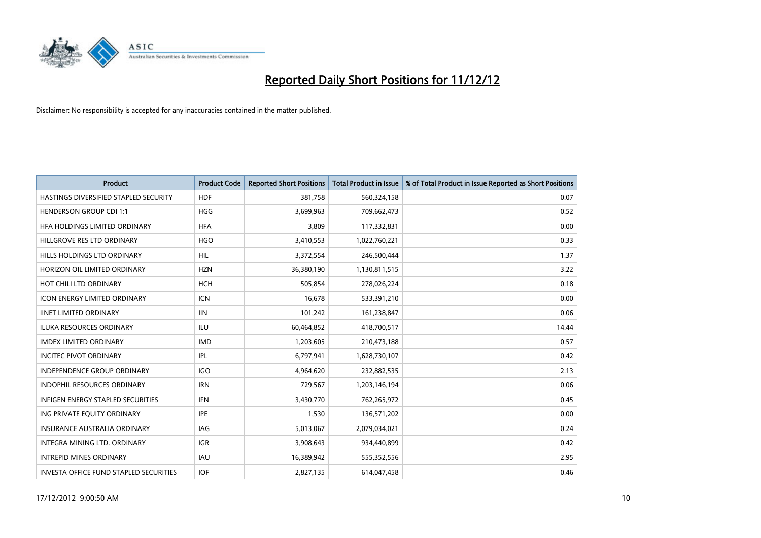

| <b>Product</b>                           | <b>Product Code</b> | <b>Reported Short Positions</b> | <b>Total Product in Issue</b> | % of Total Product in Issue Reported as Short Positions |
|------------------------------------------|---------------------|---------------------------------|-------------------------------|---------------------------------------------------------|
| HASTINGS DIVERSIFIED STAPLED SECURITY    | <b>HDF</b>          | 381,758                         | 560,324,158                   | 0.07                                                    |
| <b>HENDERSON GROUP CDI 1:1</b>           | <b>HGG</b>          | 3,699,963                       | 709,662,473                   | 0.52                                                    |
| HFA HOLDINGS LIMITED ORDINARY            | <b>HFA</b>          | 3.809                           | 117,332,831                   | 0.00                                                    |
| HILLGROVE RES LTD ORDINARY               | <b>HGO</b>          | 3,410,553                       | 1,022,760,221                 | 0.33                                                    |
| HILLS HOLDINGS LTD ORDINARY              | <b>HIL</b>          | 3,372,554                       | 246,500,444                   | 1.37                                                    |
| HORIZON OIL LIMITED ORDINARY             | <b>HZN</b>          | 36,380,190                      | 1,130,811,515                 | 3.22                                                    |
| HOT CHILI LTD ORDINARY                   | <b>HCH</b>          | 505,854                         | 278,026,224                   | 0.18                                                    |
| ICON ENERGY LIMITED ORDINARY             | <b>ICN</b>          | 16,678                          | 533,391,210                   | 0.00                                                    |
| <b>IINET LIMITED ORDINARY</b>            | <b>IIN</b>          | 101,242                         | 161,238,847                   | 0.06                                                    |
| <b>ILUKA RESOURCES ORDINARY</b>          | ILU                 | 60,464,852                      | 418,700,517                   | 14.44                                                   |
| <b>IMDEX LIMITED ORDINARY</b>            | <b>IMD</b>          | 1,203,605                       | 210,473,188                   | 0.57                                                    |
| <b>INCITEC PIVOT ORDINARY</b>            | <b>IPL</b>          | 6,797,941                       | 1,628,730,107                 | 0.42                                                    |
| INDEPENDENCE GROUP ORDINARY              | <b>IGO</b>          | 4,964,620                       | 232,882,535                   | 2.13                                                    |
| <b>INDOPHIL RESOURCES ORDINARY</b>       | <b>IRN</b>          | 729,567                         | 1,203,146,194                 | 0.06                                                    |
| <b>INFIGEN ENERGY STAPLED SECURITIES</b> | <b>IFN</b>          | 3,430,770                       | 762,265,972                   | 0.45                                                    |
| ING PRIVATE EQUITY ORDINARY              | <b>IPE</b>          | 1,530                           | 136,571,202                   | 0.00                                                    |
| <b>INSURANCE AUSTRALIA ORDINARY</b>      | <b>IAG</b>          | 5,013,067                       | 2,079,034,021                 | 0.24                                                    |
| INTEGRA MINING LTD. ORDINARY             | <b>IGR</b>          | 3,908,643                       | 934,440,899                   | 0.42                                                    |
| <b>INTREPID MINES ORDINARY</b>           | <b>IAU</b>          | 16,389,942                      | 555,352,556                   | 2.95                                                    |
| INVESTA OFFICE FUND STAPLED SECURITIES   | <b>IOF</b>          | 2,827,135                       | 614,047,458                   | 0.46                                                    |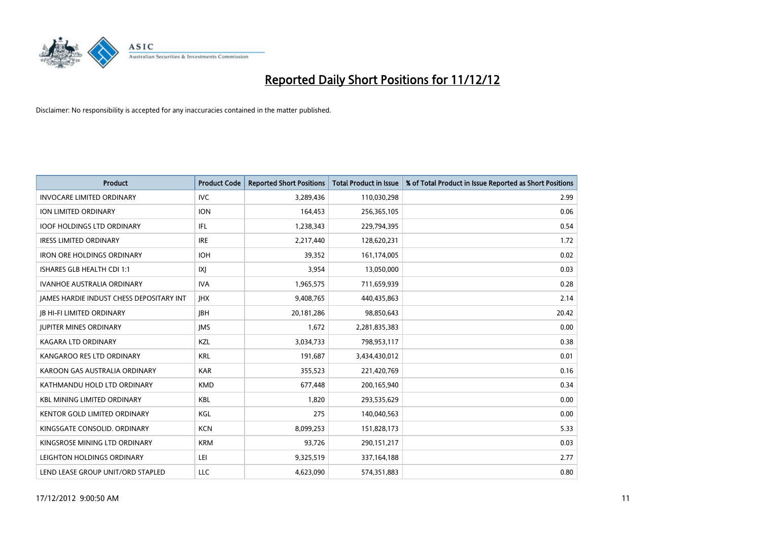

| <b>Product</b>                           | <b>Product Code</b> | <b>Reported Short Positions</b> | <b>Total Product in Issue</b> | % of Total Product in Issue Reported as Short Positions |
|------------------------------------------|---------------------|---------------------------------|-------------------------------|---------------------------------------------------------|
| <b>INVOCARE LIMITED ORDINARY</b>         | <b>IVC</b>          | 3,289,436                       | 110,030,298                   | 2.99                                                    |
| ION LIMITED ORDINARY                     | <b>ION</b>          | 164,453                         | 256,365,105                   | 0.06                                                    |
| <b>IOOF HOLDINGS LTD ORDINARY</b>        | IFL                 | 1,238,343                       | 229,794,395                   | 0.54                                                    |
| <b>IRESS LIMITED ORDINARY</b>            | <b>IRE</b>          | 2,217,440                       | 128,620,231                   | 1.72                                                    |
| <b>IRON ORE HOLDINGS ORDINARY</b>        | <b>IOH</b>          | 39,352                          | 161,174,005                   | 0.02                                                    |
| ISHARES GLB HEALTH CDI 1:1               | X                   | 3,954                           | 13,050,000                    | 0.03                                                    |
| <b>IVANHOE AUSTRALIA ORDINARY</b>        | <b>IVA</b>          | 1,965,575                       | 711,659,939                   | 0.28                                                    |
| JAMES HARDIE INDUST CHESS DEPOSITARY INT | <b>IHX</b>          | 9,408,765                       | 440,435,863                   | 2.14                                                    |
| <b>IB HI-FI LIMITED ORDINARY</b>         | <b>IBH</b>          | 20,181,286                      | 98,850,643                    | 20.42                                                   |
| <b>JUPITER MINES ORDINARY</b>            | <b>IMS</b>          | 1,672                           | 2,281,835,383                 | 0.00                                                    |
| KAGARA LTD ORDINARY                      | <b>KZL</b>          | 3,034,733                       | 798,953,117                   | 0.38                                                    |
| KANGAROO RES LTD ORDINARY                | <b>KRL</b>          | 191,687                         | 3,434,430,012                 | 0.01                                                    |
| KAROON GAS AUSTRALIA ORDINARY            | <b>KAR</b>          | 355,523                         | 221,420,769                   | 0.16                                                    |
| KATHMANDU HOLD LTD ORDINARY              | <b>KMD</b>          | 677,448                         | 200,165,940                   | 0.34                                                    |
| <b>KBL MINING LIMITED ORDINARY</b>       | <b>KBL</b>          | 1,820                           | 293,535,629                   | 0.00                                                    |
| KENTOR GOLD LIMITED ORDINARY             | KGL                 | 275                             | 140,040,563                   | 0.00                                                    |
| KINGSGATE CONSOLID. ORDINARY             | <b>KCN</b>          | 8,099,253                       | 151,828,173                   | 5.33                                                    |
| KINGSROSE MINING LTD ORDINARY            | <b>KRM</b>          | 93,726                          | 290,151,217                   | 0.03                                                    |
| LEIGHTON HOLDINGS ORDINARY               | LEI                 | 9,325,519                       | 337, 164, 188                 | 2.77                                                    |
| LEND LEASE GROUP UNIT/ORD STAPLED        | LLC                 | 4,623,090                       | 574,351,883                   | 0.80                                                    |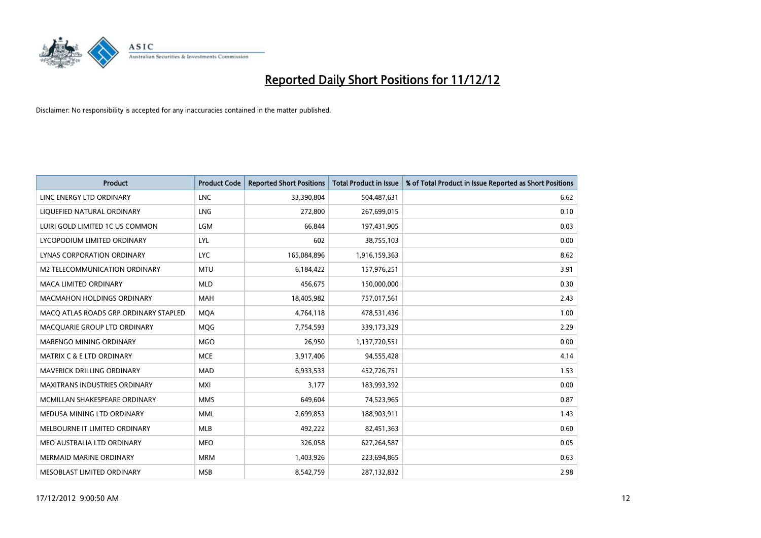

| <b>Product</b>                        | <b>Product Code</b> | <b>Reported Short Positions</b> | <b>Total Product in Issue</b> | % of Total Product in Issue Reported as Short Positions |
|---------------------------------------|---------------------|---------------------------------|-------------------------------|---------------------------------------------------------|
| LINC ENERGY LTD ORDINARY              | <b>LNC</b>          | 33,390,804                      | 504,487,631                   | 6.62                                                    |
| LIQUEFIED NATURAL ORDINARY            | LNG                 | 272,800                         | 267,699,015                   | 0.10                                                    |
| LUIRI GOLD LIMITED 1C US COMMON       | LGM                 | 66,844                          | 197,431,905                   | 0.03                                                    |
| LYCOPODIUM LIMITED ORDINARY           | LYL                 | 602                             | 38,755,103                    | 0.00                                                    |
| LYNAS CORPORATION ORDINARY            | LYC.                | 165,084,896                     | 1,916,159,363                 | 8.62                                                    |
| M2 TELECOMMUNICATION ORDINARY         | <b>MTU</b>          | 6,184,422                       | 157,976,251                   | 3.91                                                    |
| MACA LIMITED ORDINARY                 | <b>MLD</b>          | 456,675                         | 150,000,000                   | 0.30                                                    |
| <b>MACMAHON HOLDINGS ORDINARY</b>     | <b>MAH</b>          | 18,405,982                      | 757,017,561                   | 2.43                                                    |
| MACO ATLAS ROADS GRP ORDINARY STAPLED | <b>MQA</b>          | 4,764,118                       | 478,531,436                   | 1.00                                                    |
| MACQUARIE GROUP LTD ORDINARY          | <b>MOG</b>          | 7,754,593                       | 339,173,329                   | 2.29                                                    |
| <b>MARENGO MINING ORDINARY</b>        | <b>MGO</b>          | 26,950                          | 1,137,720,551                 | 0.00                                                    |
| <b>MATRIX C &amp; E LTD ORDINARY</b>  | <b>MCE</b>          | 3,917,406                       | 94,555,428                    | 4.14                                                    |
| MAVERICK DRILLING ORDINARY            | <b>MAD</b>          | 6,933,533                       | 452,726,751                   | 1.53                                                    |
| <b>MAXITRANS INDUSTRIES ORDINARY</b>  | <b>MXI</b>          | 3,177                           | 183,993,392                   | 0.00                                                    |
| MCMILLAN SHAKESPEARE ORDINARY         | <b>MMS</b>          | 649,604                         | 74,523,965                    | 0.87                                                    |
| MEDUSA MINING LTD ORDINARY            | <b>MML</b>          | 2,699,853                       | 188,903,911                   | 1.43                                                    |
| MELBOURNE IT LIMITED ORDINARY         | <b>MLB</b>          | 492,222                         | 82,451,363                    | 0.60                                                    |
| MEO AUSTRALIA LTD ORDINARY            | <b>MEO</b>          | 326,058                         | 627,264,587                   | 0.05                                                    |
| <b>MERMAID MARINE ORDINARY</b>        | <b>MRM</b>          | 1,403,926                       | 223,694,865                   | 0.63                                                    |
| <b>MESOBLAST LIMITED ORDINARY</b>     | <b>MSB</b>          | 8,542,759                       | 287,132,832                   | 2.98                                                    |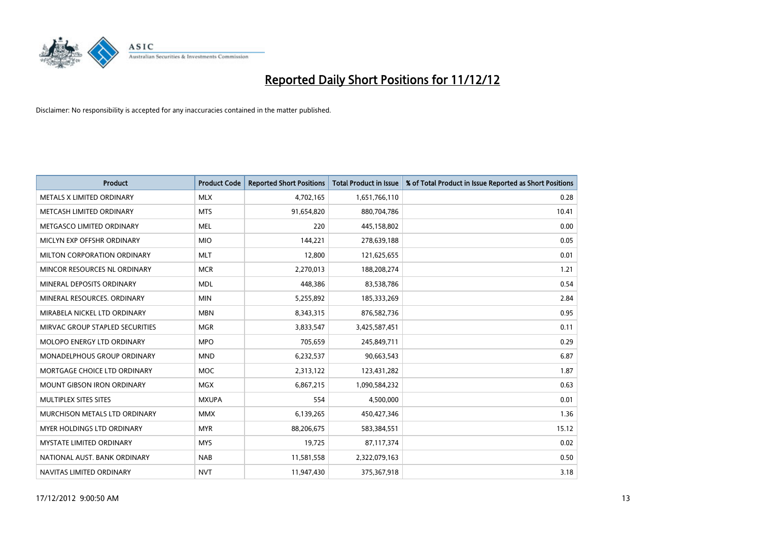

| <b>Product</b>                       | <b>Product Code</b> | <b>Reported Short Positions</b> | <b>Total Product in Issue</b> | % of Total Product in Issue Reported as Short Positions |
|--------------------------------------|---------------------|---------------------------------|-------------------------------|---------------------------------------------------------|
| METALS X LIMITED ORDINARY            | <b>MLX</b>          | 4,702,165                       | 1,651,766,110                 | 0.28                                                    |
| METCASH LIMITED ORDINARY             | <b>MTS</b>          | 91,654,820                      | 880,704,786                   | 10.41                                                   |
| METGASCO LIMITED ORDINARY            | <b>MEL</b>          | 220                             | 445,158,802                   | 0.00                                                    |
| MICLYN EXP OFFSHR ORDINARY           | <b>MIO</b>          | 144,221                         | 278,639,188                   | 0.05                                                    |
| MILTON CORPORATION ORDINARY          | <b>MLT</b>          | 12,800                          | 121,625,655                   | 0.01                                                    |
| MINCOR RESOURCES NL ORDINARY         | <b>MCR</b>          | 2,270,013                       | 188,208,274                   | 1.21                                                    |
| MINERAL DEPOSITS ORDINARY            | <b>MDL</b>          | 448,386                         | 83,538,786                    | 0.54                                                    |
| MINERAL RESOURCES. ORDINARY          | <b>MIN</b>          | 5,255,892                       | 185,333,269                   | 2.84                                                    |
| MIRABELA NICKEL LTD ORDINARY         | <b>MBN</b>          | 8,343,315                       | 876,582,736                   | 0.95                                                    |
| MIRVAC GROUP STAPLED SECURITIES      | <b>MGR</b>          | 3,833,547                       | 3,425,587,451                 | 0.11                                                    |
| MOLOPO ENERGY LTD ORDINARY           | <b>MPO</b>          | 705,659                         | 245,849,711                   | 0.29                                                    |
| MONADELPHOUS GROUP ORDINARY          | <b>MND</b>          | 6,232,537                       | 90,663,543                    | 6.87                                                    |
| MORTGAGE CHOICE LTD ORDINARY         | <b>MOC</b>          | 2,313,122                       | 123,431,282                   | 1.87                                                    |
| <b>MOUNT GIBSON IRON ORDINARY</b>    | <b>MGX</b>          | 6,867,215                       | 1,090,584,232                 | 0.63                                                    |
| MULTIPLEX SITES SITES                | <b>MXUPA</b>        | 554                             | 4,500,000                     | 0.01                                                    |
| <b>MURCHISON METALS LTD ORDINARY</b> | <b>MMX</b>          | 6,139,265                       | 450,427,346                   | 1.36                                                    |
| <b>MYER HOLDINGS LTD ORDINARY</b>    | <b>MYR</b>          | 88,206,675                      | 583,384,551                   | 15.12                                                   |
| MYSTATE LIMITED ORDINARY             | <b>MYS</b>          | 19,725                          | 87,117,374                    | 0.02                                                    |
| NATIONAL AUST, BANK ORDINARY         | <b>NAB</b>          | 11,581,558                      | 2,322,079,163                 | 0.50                                                    |
| NAVITAS LIMITED ORDINARY             | <b>NVT</b>          | 11,947,430                      | 375,367,918                   | 3.18                                                    |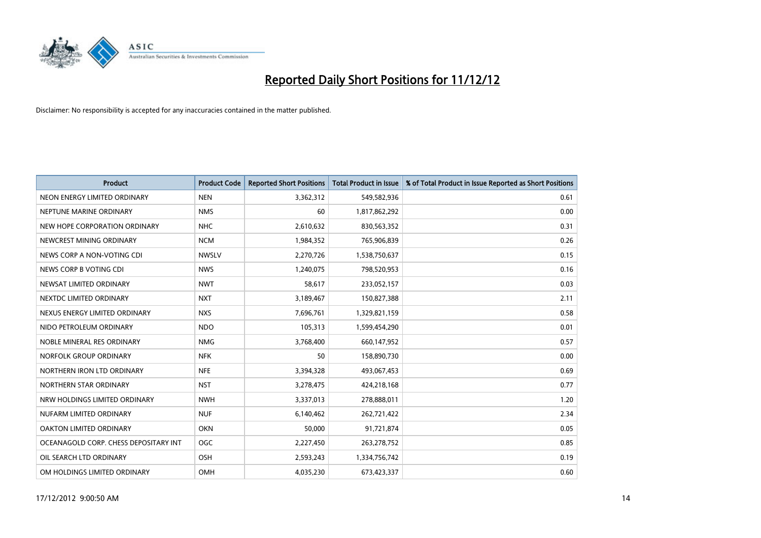

| <b>Product</b>                        | <b>Product Code</b> | <b>Reported Short Positions</b> | <b>Total Product in Issue</b> | % of Total Product in Issue Reported as Short Positions |
|---------------------------------------|---------------------|---------------------------------|-------------------------------|---------------------------------------------------------|
| NEON ENERGY LIMITED ORDINARY          | <b>NEN</b>          | 3,362,312                       | 549,582,936                   | 0.61                                                    |
| NEPTUNE MARINE ORDINARY               | <b>NMS</b>          | 60                              | 1,817,862,292                 | 0.00                                                    |
| NEW HOPE CORPORATION ORDINARY         | <b>NHC</b>          | 2,610,632                       | 830,563,352                   | 0.31                                                    |
| NEWCREST MINING ORDINARY              | <b>NCM</b>          | 1,984,352                       | 765,906,839                   | 0.26                                                    |
| NEWS CORP A NON-VOTING CDI            | <b>NWSLV</b>        | 2,270,726                       | 1,538,750,637                 | 0.15                                                    |
| NEWS CORP B VOTING CDI                | <b>NWS</b>          | 1,240,075                       | 798,520,953                   | 0.16                                                    |
| NEWSAT LIMITED ORDINARY               | <b>NWT</b>          | 58,617                          | 233,052,157                   | 0.03                                                    |
| NEXTDC LIMITED ORDINARY               | <b>NXT</b>          | 3,189,467                       | 150,827,388                   | 2.11                                                    |
| NEXUS ENERGY LIMITED ORDINARY         | <b>NXS</b>          | 7,696,761                       | 1,329,821,159                 | 0.58                                                    |
| NIDO PETROLEUM ORDINARY               | <b>NDO</b>          | 105,313                         | 1,599,454,290                 | 0.01                                                    |
| NOBLE MINERAL RES ORDINARY            | <b>NMG</b>          | 3,768,400                       | 660,147,952                   | 0.57                                                    |
| NORFOLK GROUP ORDINARY                | <b>NFK</b>          | 50                              | 158,890,730                   | 0.00                                                    |
| NORTHERN IRON LTD ORDINARY            | <b>NFE</b>          | 3,394,328                       | 493,067,453                   | 0.69                                                    |
| NORTHERN STAR ORDINARY                | <b>NST</b>          | 3,278,475                       | 424,218,168                   | 0.77                                                    |
| NRW HOLDINGS LIMITED ORDINARY         | <b>NWH</b>          | 3,337,013                       | 278,888,011                   | 1.20                                                    |
| NUFARM LIMITED ORDINARY               | <b>NUF</b>          | 6,140,462                       | 262,721,422                   | 2.34                                                    |
| OAKTON LIMITED ORDINARY               | <b>OKN</b>          | 50,000                          | 91,721,874                    | 0.05                                                    |
| OCEANAGOLD CORP. CHESS DEPOSITARY INT | OGC                 | 2,227,450                       | 263,278,752                   | 0.85                                                    |
| OIL SEARCH LTD ORDINARY               | <b>OSH</b>          | 2,593,243                       | 1,334,756,742                 | 0.19                                                    |
| OM HOLDINGS LIMITED ORDINARY          | OMH                 | 4,035,230                       | 673,423,337                   | 0.60                                                    |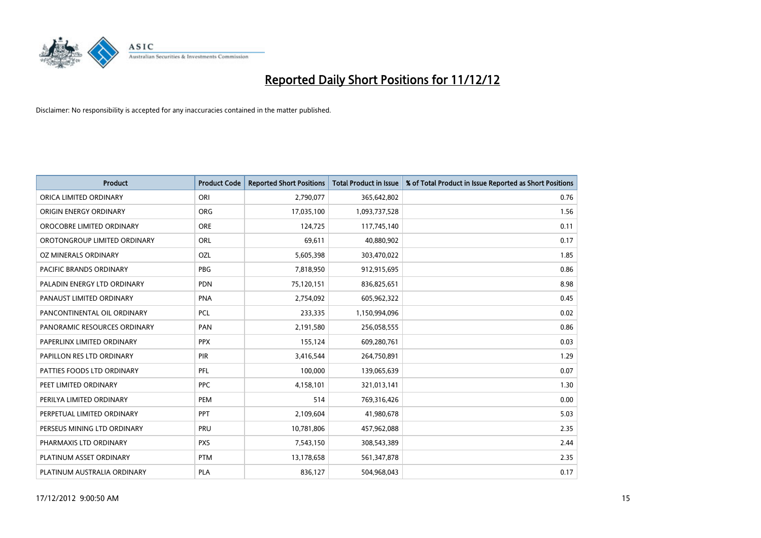

| <b>Product</b>               | <b>Product Code</b> | <b>Reported Short Positions</b> | <b>Total Product in Issue</b> | % of Total Product in Issue Reported as Short Positions |
|------------------------------|---------------------|---------------------------------|-------------------------------|---------------------------------------------------------|
| ORICA LIMITED ORDINARY       | ORI                 | 2,790,077                       | 365,642,802                   | 0.76                                                    |
| ORIGIN ENERGY ORDINARY       | <b>ORG</b>          | 17,035,100                      | 1,093,737,528                 | 1.56                                                    |
| OROCOBRE LIMITED ORDINARY    | <b>ORE</b>          | 124,725                         | 117,745,140                   | 0.11                                                    |
| OROTONGROUP LIMITED ORDINARY | <b>ORL</b>          | 69,611                          | 40,880,902                    | 0.17                                                    |
| OZ MINERALS ORDINARY         | OZL                 | 5,605,398                       | 303,470,022                   | 1.85                                                    |
| PACIFIC BRANDS ORDINARY      | PBG                 | 7,818,950                       | 912,915,695                   | 0.86                                                    |
| PALADIN ENERGY LTD ORDINARY  | <b>PDN</b>          | 75,120,151                      | 836,825,651                   | 8.98                                                    |
| PANAUST LIMITED ORDINARY     | <b>PNA</b>          | 2,754,092                       | 605,962,322                   | 0.45                                                    |
| PANCONTINENTAL OIL ORDINARY  | <b>PCL</b>          | 233,335                         | 1,150,994,096                 | 0.02                                                    |
| PANORAMIC RESOURCES ORDINARY | PAN                 | 2,191,580                       | 256,058,555                   | 0.86                                                    |
| PAPERLINX LIMITED ORDINARY   | <b>PPX</b>          | 155,124                         | 609,280,761                   | 0.03                                                    |
| PAPILLON RES LTD ORDINARY    | <b>PIR</b>          | 3,416,544                       | 264,750,891                   | 1.29                                                    |
| PATTIES FOODS LTD ORDINARY   | PFL                 | 100,000                         | 139,065,639                   | 0.07                                                    |
| PEET LIMITED ORDINARY        | <b>PPC</b>          | 4,158,101                       | 321,013,141                   | 1.30                                                    |
| PERILYA LIMITED ORDINARY     | PEM                 | 514                             | 769,316,426                   | 0.00                                                    |
| PERPETUAL LIMITED ORDINARY   | <b>PPT</b>          | 2,109,604                       | 41,980,678                    | 5.03                                                    |
| PERSEUS MINING LTD ORDINARY  | PRU                 | 10,781,806                      | 457,962,088                   | 2.35                                                    |
| PHARMAXIS LTD ORDINARY       | <b>PXS</b>          | 7,543,150                       | 308,543,389                   | 2.44                                                    |
| PLATINUM ASSET ORDINARY      | <b>PTM</b>          | 13,178,658                      | 561,347,878                   | 2.35                                                    |
| PLATINUM AUSTRALIA ORDINARY  | <b>PLA</b>          | 836,127                         | 504,968,043                   | 0.17                                                    |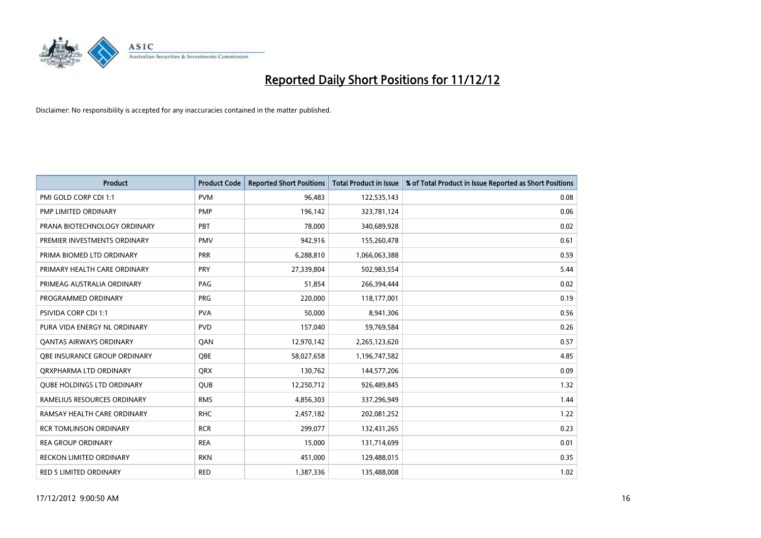

| <b>Product</b>                      | <b>Product Code</b> | <b>Reported Short Positions</b> | <b>Total Product in Issue</b> | % of Total Product in Issue Reported as Short Positions |
|-------------------------------------|---------------------|---------------------------------|-------------------------------|---------------------------------------------------------|
| PMI GOLD CORP CDI 1:1               | <b>PVM</b>          | 96,483                          | 122,535,143                   | 0.08                                                    |
| PMP LIMITED ORDINARY                | <b>PMP</b>          | 196,142                         | 323,781,124                   | 0.06                                                    |
| PRANA BIOTECHNOLOGY ORDINARY        | PBT                 | 78,000                          | 340,689,928                   | 0.02                                                    |
| PREMIER INVESTMENTS ORDINARY        | <b>PMV</b>          | 942,916                         | 155,260,478                   | 0.61                                                    |
| PRIMA BIOMED LTD ORDINARY           | PRR                 | 6,288,810                       | 1,066,063,388                 | 0.59                                                    |
| PRIMARY HEALTH CARE ORDINARY        | <b>PRY</b>          | 27,339,804                      | 502,983,554                   | 5.44                                                    |
| PRIMEAG AUSTRALIA ORDINARY          | PAG                 | 51,854                          | 266,394,444                   | 0.02                                                    |
| PROGRAMMED ORDINARY                 | <b>PRG</b>          | 220,000                         | 118,177,001                   | 0.19                                                    |
| PSIVIDA CORP CDI 1:1                | <b>PVA</b>          | 50,000                          | 8,941,306                     | 0.56                                                    |
| PURA VIDA ENERGY NL ORDINARY        | <b>PVD</b>          | 157,040                         | 59,769,584                    | 0.26                                                    |
| <b>QANTAS AIRWAYS ORDINARY</b>      | QAN                 | 12,970,142                      | 2,265,123,620                 | 0.57                                                    |
| <b>OBE INSURANCE GROUP ORDINARY</b> | <b>OBE</b>          | 58,027,658                      | 1,196,747,582                 | 4.85                                                    |
| ORXPHARMA LTD ORDINARY              | <b>ORX</b>          | 130,762                         | 144,577,206                   | 0.09                                                    |
| <b>QUBE HOLDINGS LTD ORDINARY</b>   | <b>QUB</b>          | 12,250,712                      | 926,489,845                   | 1.32                                                    |
| RAMELIUS RESOURCES ORDINARY         | <b>RMS</b>          | 4,856,303                       | 337,296,949                   | 1.44                                                    |
| RAMSAY HEALTH CARE ORDINARY         | <b>RHC</b>          | 2,457,182                       | 202,081,252                   | 1.22                                                    |
| <b>RCR TOMLINSON ORDINARY</b>       | <b>RCR</b>          | 299,077                         | 132,431,265                   | 0.23                                                    |
| <b>REA GROUP ORDINARY</b>           | <b>REA</b>          | 15,000                          | 131,714,699                   | 0.01                                                    |
| <b>RECKON LIMITED ORDINARY</b>      | <b>RKN</b>          | 451,000                         | 129,488,015                   | 0.35                                                    |
| <b>RED 5 LIMITED ORDINARY</b>       | <b>RED</b>          | 1,387,336                       | 135,488,008                   | 1.02                                                    |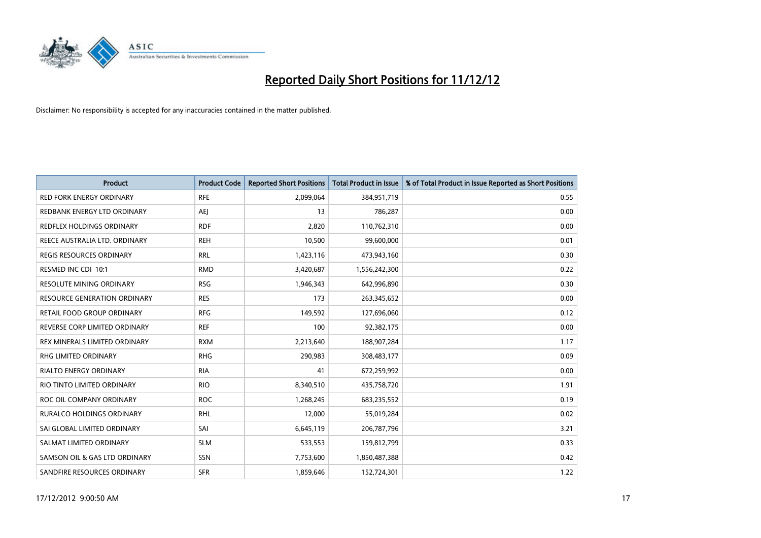

| <b>Product</b>                  | <b>Product Code</b> | <b>Reported Short Positions</b> | <b>Total Product in Issue</b> | % of Total Product in Issue Reported as Short Positions |
|---------------------------------|---------------------|---------------------------------|-------------------------------|---------------------------------------------------------|
| <b>RED FORK ENERGY ORDINARY</b> | <b>RFE</b>          | 2,099,064                       | 384,951,719                   | 0.55                                                    |
| REDBANK ENERGY LTD ORDINARY     | AEJ                 | 13                              | 786,287                       | 0.00                                                    |
| REDFLEX HOLDINGS ORDINARY       | <b>RDF</b>          | 2,820                           | 110,762,310                   | 0.00                                                    |
| REECE AUSTRALIA LTD. ORDINARY   | <b>REH</b>          | 10,500                          | 99,600,000                    | 0.01                                                    |
| <b>REGIS RESOURCES ORDINARY</b> | <b>RRL</b>          | 1,423,116                       | 473,943,160                   | 0.30                                                    |
| RESMED INC CDI 10:1             | <b>RMD</b>          | 3,420,687                       | 1,556,242,300                 | 0.22                                                    |
| <b>RESOLUTE MINING ORDINARY</b> | <b>RSG</b>          | 1,946,343                       | 642,996,890                   | 0.30                                                    |
| RESOURCE GENERATION ORDINARY    | <b>RES</b>          | 173                             | 263,345,652                   | 0.00                                                    |
| RETAIL FOOD GROUP ORDINARY      | <b>RFG</b>          | 149,592                         | 127,696,060                   | 0.12                                                    |
| REVERSE CORP LIMITED ORDINARY   | <b>REF</b>          | 100                             | 92,382,175                    | 0.00                                                    |
| REX MINERALS LIMITED ORDINARY   | <b>RXM</b>          | 2,213,640                       | 188,907,284                   | 1.17                                                    |
| <b>RHG LIMITED ORDINARY</b>     | <b>RHG</b>          | 290,983                         | 308,483,177                   | 0.09                                                    |
| RIALTO ENERGY ORDINARY          | <b>RIA</b>          | 41                              | 672,259,992                   | 0.00                                                    |
| RIO TINTO LIMITED ORDINARY      | <b>RIO</b>          | 8,340,510                       | 435,758,720                   | 1.91                                                    |
| ROC OIL COMPANY ORDINARY        | <b>ROC</b>          | 1,268,245                       | 683,235,552                   | 0.19                                                    |
| RURALCO HOLDINGS ORDINARY       | <b>RHL</b>          | 12,000                          | 55,019,284                    | 0.02                                                    |
| SAI GLOBAL LIMITED ORDINARY     | SAI                 | 6,645,119                       | 206,787,796                   | 3.21                                                    |
| SALMAT LIMITED ORDINARY         | <b>SLM</b>          | 533,553                         | 159,812,799                   | 0.33                                                    |
| SAMSON OIL & GAS LTD ORDINARY   | SSN                 | 7,753,600                       | 1,850,487,388                 | 0.42                                                    |
| SANDFIRE RESOURCES ORDINARY     | <b>SFR</b>          | 1,859,646                       | 152,724,301                   | 1.22                                                    |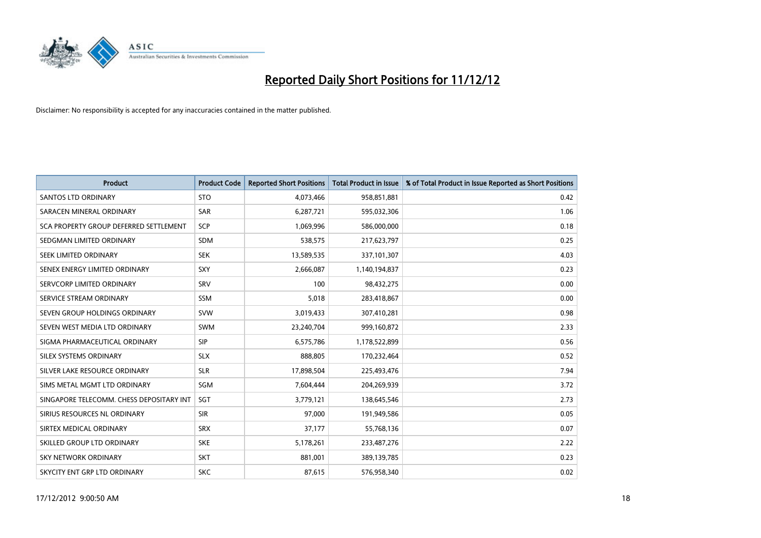

| <b>Product</b>                           | <b>Product Code</b> | <b>Reported Short Positions</b> | <b>Total Product in Issue</b> | % of Total Product in Issue Reported as Short Positions |
|------------------------------------------|---------------------|---------------------------------|-------------------------------|---------------------------------------------------------|
| <b>SANTOS LTD ORDINARY</b>               | <b>STO</b>          | 4,073,466                       | 958,851,881                   | 0.42                                                    |
| SARACEN MINERAL ORDINARY                 | SAR                 | 6,287,721                       | 595,032,306                   | 1.06                                                    |
| SCA PROPERTY GROUP DEFERRED SETTLEMENT   | <b>SCP</b>          | 1,069,996                       | 586,000,000                   | 0.18                                                    |
| SEDGMAN LIMITED ORDINARY                 | <b>SDM</b>          | 538,575                         | 217,623,797                   | 0.25                                                    |
| SEEK LIMITED ORDINARY                    | <b>SEK</b>          | 13,589,535                      | 337,101,307                   | 4.03                                                    |
| SENEX ENERGY LIMITED ORDINARY            | SXY                 | 2,666,087                       | 1,140,194,837                 | 0.23                                                    |
| SERVCORP LIMITED ORDINARY                | SRV                 | 100                             | 98,432,275                    | 0.00                                                    |
| SERVICE STREAM ORDINARY                  | <b>SSM</b>          | 5,018                           | 283,418,867                   | 0.00                                                    |
| SEVEN GROUP HOLDINGS ORDINARY            | <b>SVW</b>          | 3,019,433                       | 307,410,281                   | 0.98                                                    |
| SEVEN WEST MEDIA LTD ORDINARY            | <b>SWM</b>          | 23,240,704                      | 999,160,872                   | 2.33                                                    |
| SIGMA PHARMACEUTICAL ORDINARY            | <b>SIP</b>          | 6,575,786                       | 1,178,522,899                 | 0.56                                                    |
| SILEX SYSTEMS ORDINARY                   | <b>SLX</b>          | 888,805                         | 170,232,464                   | 0.52                                                    |
| SILVER LAKE RESOURCE ORDINARY            | <b>SLR</b>          | 17,898,504                      | 225,493,476                   | 7.94                                                    |
| SIMS METAL MGMT LTD ORDINARY             | <b>SGM</b>          | 7,604,444                       | 204,269,939                   | 3.72                                                    |
| SINGAPORE TELECOMM. CHESS DEPOSITARY INT | SGT                 | 3,779,121                       | 138,645,546                   | 2.73                                                    |
| SIRIUS RESOURCES NL ORDINARY             | <b>SIR</b>          | 97,000                          | 191,949,586                   | 0.05                                                    |
| SIRTEX MEDICAL ORDINARY                  | <b>SRX</b>          | 37,177                          | 55,768,136                    | 0.07                                                    |
| SKILLED GROUP LTD ORDINARY               | <b>SKE</b>          | 5,178,261                       | 233,487,276                   | 2.22                                                    |
| <b>SKY NETWORK ORDINARY</b>              | <b>SKT</b>          | 881,001                         | 389,139,785                   | 0.23                                                    |
| SKYCITY ENT GRP LTD ORDINARY             | <b>SKC</b>          | 87,615                          | 576.958.340                   | 0.02                                                    |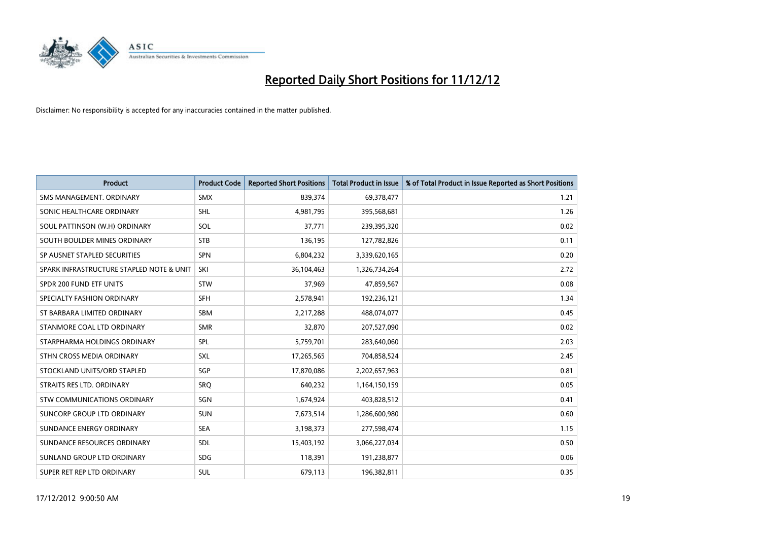

| <b>Product</b>                           | <b>Product Code</b> | <b>Reported Short Positions</b> | Total Product in Issue | % of Total Product in Issue Reported as Short Positions |
|------------------------------------------|---------------------|---------------------------------|------------------------|---------------------------------------------------------|
| SMS MANAGEMENT, ORDINARY                 | <b>SMX</b>          | 839,374                         | 69,378,477             | 1.21                                                    |
| SONIC HEALTHCARE ORDINARY                | <b>SHL</b>          | 4,981,795                       | 395,568,681            | 1.26                                                    |
| SOUL PATTINSON (W.H) ORDINARY            | SOL                 | 37,771                          | 239,395,320            | 0.02                                                    |
| SOUTH BOULDER MINES ORDINARY             | <b>STB</b>          | 136,195                         | 127,782,826            | 0.11                                                    |
| SP AUSNET STAPLED SECURITIES             | <b>SPN</b>          | 6,804,232                       | 3,339,620,165          | 0.20                                                    |
| SPARK INFRASTRUCTURE STAPLED NOTE & UNIT | SKI                 | 36,104,463                      | 1,326,734,264          | 2.72                                                    |
| SPDR 200 FUND ETF UNITS                  | <b>STW</b>          | 37,969                          | 47,859,567             | 0.08                                                    |
| SPECIALTY FASHION ORDINARY               | <b>SFH</b>          | 2,578,941                       | 192,236,121            | 1.34                                                    |
| ST BARBARA LIMITED ORDINARY              | <b>SBM</b>          | 2,217,288                       | 488,074,077            | 0.45                                                    |
| STANMORE COAL LTD ORDINARY               | <b>SMR</b>          | 32,870                          | 207,527,090            | 0.02                                                    |
| STARPHARMA HOLDINGS ORDINARY             | SPL                 | 5,759,701                       | 283,640,060            | 2.03                                                    |
| STHN CROSS MEDIA ORDINARY                | <b>SXL</b>          | 17,265,565                      | 704,858,524            | 2.45                                                    |
| STOCKLAND UNITS/ORD STAPLED              | SGP                 | 17,870,086                      | 2,202,657,963          | 0.81                                                    |
| STRAITS RES LTD. ORDINARY                | SRO                 | 640,232                         | 1,164,150,159          | 0.05                                                    |
| STW COMMUNICATIONS ORDINARY              | SGN                 | 1,674,924                       | 403,828,512            | 0.41                                                    |
| SUNCORP GROUP LTD ORDINARY               | <b>SUN</b>          | 7,673,514                       | 1,286,600,980          | 0.60                                                    |
| SUNDANCE ENERGY ORDINARY                 | <b>SEA</b>          | 3,198,373                       | 277,598,474            | 1.15                                                    |
| SUNDANCE RESOURCES ORDINARY              | <b>SDL</b>          | 15,403,192                      | 3,066,227,034          | 0.50                                                    |
| SUNLAND GROUP LTD ORDINARY               | <b>SDG</b>          | 118,391                         | 191,238,877            | 0.06                                                    |
| SUPER RET REP LTD ORDINARY               | <b>SUL</b>          | 679,113                         | 196,382,811            | 0.35                                                    |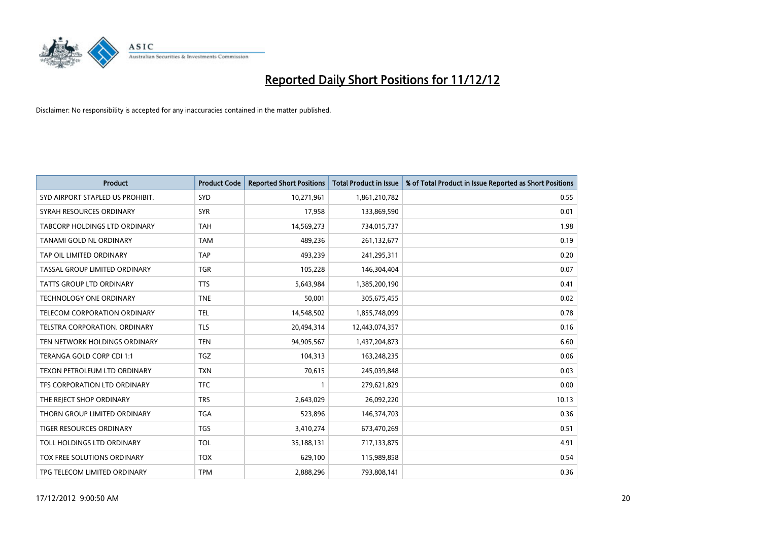

| <b>Product</b>                   | <b>Product Code</b> | <b>Reported Short Positions</b> | <b>Total Product in Issue</b> | % of Total Product in Issue Reported as Short Positions |
|----------------------------------|---------------------|---------------------------------|-------------------------------|---------------------------------------------------------|
| SYD AIRPORT STAPLED US PROHIBIT. | SYD                 | 10,271,961                      | 1,861,210,782                 | 0.55                                                    |
| SYRAH RESOURCES ORDINARY         | <b>SYR</b>          | 17,958                          | 133,869,590                   | 0.01                                                    |
| TABCORP HOLDINGS LTD ORDINARY    | <b>TAH</b>          | 14,569,273                      | 734,015,737                   | 1.98                                                    |
| <b>TANAMI GOLD NL ORDINARY</b>   | <b>TAM</b>          | 489,236                         | 261,132,677                   | 0.19                                                    |
| TAP OIL LIMITED ORDINARY         | <b>TAP</b>          | 493,239                         | 241,295,311                   | 0.20                                                    |
| TASSAL GROUP LIMITED ORDINARY    | <b>TGR</b>          | 105,228                         | 146,304,404                   | 0.07                                                    |
| <b>TATTS GROUP LTD ORDINARY</b>  | <b>TTS</b>          | 5,643,984                       | 1,385,200,190                 | 0.41                                                    |
| <b>TECHNOLOGY ONE ORDINARY</b>   | <b>TNE</b>          | 50,001                          | 305,675,455                   | 0.02                                                    |
| TELECOM CORPORATION ORDINARY     | <b>TEL</b>          | 14,548,502                      | 1,855,748,099                 | 0.78                                                    |
| TELSTRA CORPORATION, ORDINARY    | <b>TLS</b>          | 20,494,314                      | 12,443,074,357                | 0.16                                                    |
| TEN NETWORK HOLDINGS ORDINARY    | <b>TEN</b>          | 94,905,567                      | 1,437,204,873                 | 6.60                                                    |
| TERANGA GOLD CORP CDI 1:1        | <b>TGZ</b>          | 104,313                         | 163,248,235                   | 0.06                                                    |
| TEXON PETROLEUM LTD ORDINARY     | <b>TXN</b>          | 70,615                          | 245,039,848                   | 0.03                                                    |
| TFS CORPORATION LTD ORDINARY     | <b>TFC</b>          |                                 | 279,621,829                   | 0.00                                                    |
| THE REJECT SHOP ORDINARY         | <b>TRS</b>          | 2,643,029                       | 26,092,220                    | 10.13                                                   |
| THORN GROUP LIMITED ORDINARY     | <b>TGA</b>          | 523.896                         | 146,374,703                   | 0.36                                                    |
| <b>TIGER RESOURCES ORDINARY</b>  | <b>TGS</b>          | 3,410,274                       | 673,470,269                   | 0.51                                                    |
| TOLL HOLDINGS LTD ORDINARY       | <b>TOL</b>          | 35,188,131                      | 717,133,875                   | 4.91                                                    |
| TOX FREE SOLUTIONS ORDINARY      | <b>TOX</b>          | 629,100                         | 115,989,858                   | 0.54                                                    |
| TPG TELECOM LIMITED ORDINARY     | <b>TPM</b>          | 2,888,296                       | 793,808,141                   | 0.36                                                    |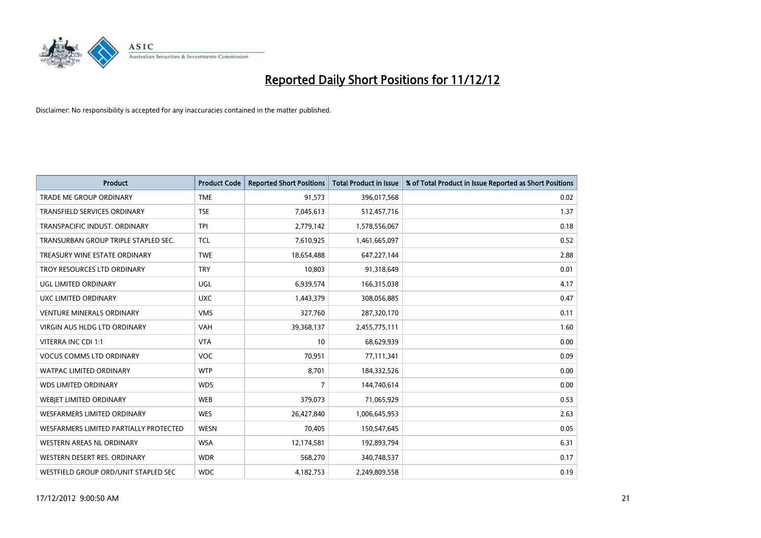

| <b>Product</b>                         | <b>Product Code</b> | <b>Reported Short Positions</b> | <b>Total Product in Issue</b> | % of Total Product in Issue Reported as Short Positions |
|----------------------------------------|---------------------|---------------------------------|-------------------------------|---------------------------------------------------------|
| <b>TRADE ME GROUP ORDINARY</b>         | <b>TME</b>          | 91,573                          | 396,017,568                   | 0.02                                                    |
| TRANSFIELD SERVICES ORDINARY           | <b>TSE</b>          | 7,045,613                       | 512,457,716                   | 1.37                                                    |
| TRANSPACIFIC INDUST. ORDINARY          | <b>TPI</b>          | 2,779,142                       | 1,578,556,067                 | 0.18                                                    |
| TRANSURBAN GROUP TRIPLE STAPLED SEC.   | <b>TCL</b>          | 7,610,925                       | 1,461,665,097                 | 0.52                                                    |
| TREASURY WINE ESTATE ORDINARY          | <b>TWE</b>          | 18,654,488                      | 647,227,144                   | 2.88                                                    |
| TROY RESOURCES LTD ORDINARY            | <b>TRY</b>          | 10,803                          | 91,318,649                    | 0.01                                                    |
| UGL LIMITED ORDINARY                   | UGL                 | 6,939,574                       | 166,315,038                   | 4.17                                                    |
| UXC LIMITED ORDINARY                   | <b>UXC</b>          | 1,443,379                       | 308,056,885                   | 0.47                                                    |
| <b>VENTURE MINERALS ORDINARY</b>       | <b>VMS</b>          | 327,760                         | 287,320,170                   | 0.11                                                    |
| <b>VIRGIN AUS HLDG LTD ORDINARY</b>    | <b>VAH</b>          | 39,368,137                      | 2,455,775,111                 | 1.60                                                    |
| VITERRA INC CDI 1:1                    | <b>VTA</b>          | 10                              | 68,629,939                    | 0.00                                                    |
| <b>VOCUS COMMS LTD ORDINARY</b>        | <b>VOC</b>          | 70,951                          | 77,111,341                    | 0.09                                                    |
| <b>WATPAC LIMITED ORDINARY</b>         | <b>WTP</b>          | 8,701                           | 184,332,526                   | 0.00                                                    |
| <b>WDS LIMITED ORDINARY</b>            | <b>WDS</b>          | 7                               | 144,740,614                   | 0.00                                                    |
| WEBIET LIMITED ORDINARY                | <b>WEB</b>          | 379,073                         | 71,065,929                    | 0.53                                                    |
| WESFARMERS LIMITED ORDINARY            | <b>WES</b>          | 26,427,840                      | 1,006,645,953                 | 2.63                                                    |
| WESFARMERS LIMITED PARTIALLY PROTECTED | <b>WESN</b>         | 70,405                          | 150,547,645                   | 0.05                                                    |
| WESTERN AREAS NL ORDINARY              | <b>WSA</b>          | 12,174,581                      | 192,893,794                   | 6.31                                                    |
| WESTERN DESERT RES. ORDINARY           | <b>WDR</b>          | 568,270                         | 340,748,537                   | 0.17                                                    |
| WESTFIELD GROUP ORD/UNIT STAPLED SEC   | <b>WDC</b>          | 4,182,753                       | 2,249,809,558                 | 0.19                                                    |